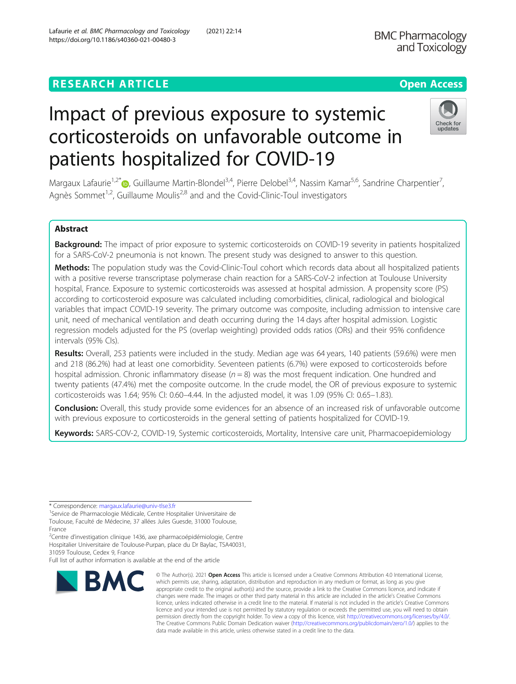# **RESEARCH ARTICLE Example 2014 12:30 The Contract of Contract ACCESS**

# Impact of previous exposure to systemic corticosteroids on unfavorable outcome in patients hospitalized for COVID-19

Margaux Lafaurie<sup>1,2[\\*](http://orcid.org/0000-0001-6010-2891)</sup> , Guillaume Martin-Blondel<sup>3,4</sup>, Pierre Delobel<sup>3,4</sup>, Nassim Kamar<sup>5,6</sup>, Sandrine Charpentier<sup>7</sup>, , Agnès Sommet<sup>1,2</sup>, Guillaume Moulis<sup>2,8</sup> and and the Covid-Clinic-Toul investigators

# Abstract

Background: The impact of prior exposure to systemic corticosteroids on COVID-19 severity in patients hospitalized for a SARS-CoV-2 pneumonia is not known. The present study was designed to answer to this question.

Methods: The population study was the Covid-Clinic-Toul cohort which records data about all hospitalized patients with a positive reverse transcriptase polymerase chain reaction for a SARS-CoV-2 infection at Toulouse University hospital, France. Exposure to systemic corticosteroids was assessed at hospital admission. A propensity score (PS) according to corticosteroid exposure was calculated including comorbidities, clinical, radiological and biological variables that impact COVID-19 severity. The primary outcome was composite, including admission to intensive care unit, need of mechanical ventilation and death occurring during the 14 days after hospital admission. Logistic regression models adjusted for the PS (overlap weighting) provided odds ratios (ORs) and their 95% confidence intervals (95% CIs).

Results: Overall, 253 patients were included in the study. Median age was 64 years, 140 patients (59.6%) were men and 218 (86.2%) had at least one comorbidity. Seventeen patients (6.7%) were exposed to corticosteroids before hospital admission. Chronic inflammatory disease ( $n = 8$ ) was the most frequent indication. One hundred and twenty patients (47.4%) met the composite outcome. In the crude model, the OR of previous exposure to systemic corticosteroids was 1.64; 95% CI: 0.60–4.44. In the adjusted model, it was 1.09 (95% CI: 0.65–1.83).

**Conclusion:** Overall, this study provide some evidences for an absence of an increased risk of unfavorable outcome with previous exposure to corticosteroids in the general setting of patients hospitalized for COVID-19.

Keywords: SARS-COV-2, COVID-19, Systemic corticosteroids, Mortality, Intensive care unit, Pharmacoepidemiology

\* Correspondence: [margaux.lafaurie@univ-tlse3.fr](mailto:margaux.lafaurie@univ-tlse3.fr) <sup>1</sup>

<sup>1</sup>Service de Pharmacologie Médicale, Centre Hospitalier Universitaire de Toulouse, Faculté de Médecine, 37 allées Jules Guesde, 31000 Toulouse,

<sup>2</sup>Centre d'investigation clinique 1436, axe pharmacoépidémiologie, Centre Hospitalier Universitaire de Toulouse-Purpan, place du Dr Baylac, TSA40031,

appropriate credit to the original author(s) and the source, provide a link to the Creative Commons licence, and indicate if changes were made. The images or other third party material in this article are included in the article's Creative Commons licence, unless indicated otherwise in a credit line to the material. If material is not included in the article's Creative Commons licence and your intended use is not permitted by statutory regulation or exceeds the permitted use, you will need to obtain permission directly from the copyright holder. To view a copy of this licence, visit [http://creativecommons.org/licenses/by/4.0/.](http://creativecommons.org/licenses/by/4.0/) The Creative Commons Public Domain Dedication waiver [\(http://creativecommons.org/publicdomain/zero/1.0/](http://creativecommons.org/publicdomain/zero/1.0/)) applies to the data made available in this article, unless otherwise stated in a credit line to the data.

© The Author(s), 2021 **Open Access** This article is licensed under a Creative Commons Attribution 4.0 International License, which permits use, sharing, adaptation, distribution and reproduction in any medium or format, as long as you give

31059 Toulouse, Cedex 9, France

Full list of author information is available at the end of the article





France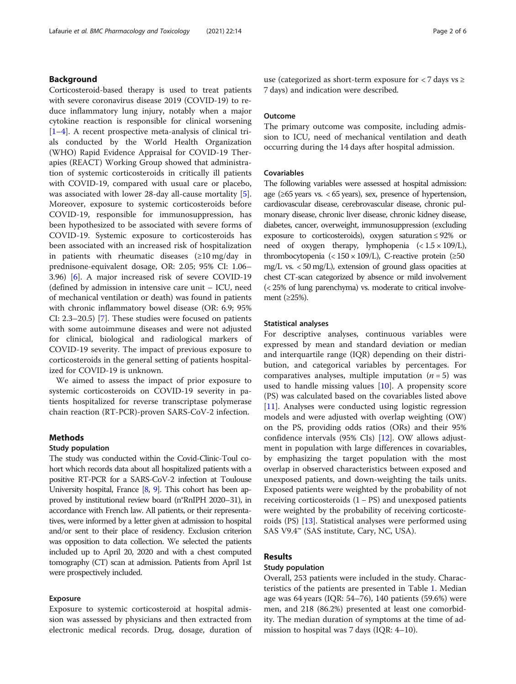# Background

Corticosteroid-based therapy is used to treat patients with severe coronavirus disease 2019 (COVID-19) to reduce inflammatory lung injury, notably when a major cytokine reaction is responsible for clinical worsening [[1](#page-5-0)–[4\]](#page-5-0). A recent prospective meta-analysis of clinical trials conducted by the World Health Organization (WHO) Rapid Evidence Appraisal for COVID-19 Therapies (REACT) Working Group showed that administration of systemic corticosteroids in critically ill patients with COVID-19, compared with usual care or placebo, was associated with lower 28-day all-cause mortality [\[5](#page-5-0)]. Moreover, exposure to systemic corticosteroids before COVID-19, responsible for immunosuppression, has been hypothesized to be associated with severe forms of COVID-19. Systemic exposure to corticosteroids has been associated with an increased risk of hospitalization in patients with rheumatic diseases (≥10 mg/day in prednisone-equivalent dosage, OR: 2.05; 95% CI: 1.06– 3.96) [[6\]](#page-5-0). A major increased risk of severe COVID-19 (defined by admission in intensive care unit – ICU, need of mechanical ventilation or death) was found in patients with chronic inflammatory bowel disease (OR: 6.9; 95% CI: 2.3–20.5) [\[7\]](#page-5-0). These studies were focused on patients with some autoimmune diseases and were not adjusted for clinical, biological and radiological markers of COVID-19 severity. The impact of previous exposure to corticosteroids in the general setting of patients hospitalized for COVID-19 is unknown.

We aimed to assess the impact of prior exposure to systemic corticosteroids on COVID-19 severity in patients hospitalized for reverse transcriptase polymerase chain reaction (RT-PCR)-proven SARS-CoV-2 infection.

# Methods

#### Study population

The study was conducted within the Covid-Clinic-Toul cohort which records data about all hospitalized patients with a positive RT-PCR for a SARS-CoV-2 infection at Toulouse University hospital, France [\[8](#page-5-0), [9\]](#page-5-0). This cohort has been approved by institutional review board (n°RnIPH 2020–31), in accordance with French law. All patients, or their representatives, were informed by a letter given at admission to hospital and/or sent to their place of residency. Exclusion criterion was opposition to data collection. We selected the patients included up to April 20, 2020 and with a chest computed tomography (CT) scan at admission. Patients from April 1st were prospectively included.

# Exposure

Exposure to systemic corticosteroid at hospital admission was assessed by physicians and then extracted from electronic medical records. Drug, dosage, duration of use (categorized as short-term exposure for  $\langle 7 \rangle$  days vs  $\ge$ 7 days) and indication were described.

#### **Outcome**

The primary outcome was composite, including admission to ICU, need of mechanical ventilation and death occurring during the 14 days after hospital admission.

# Covariables

The following variables were assessed at hospital admission: age ( $\geq 65$  years vs. < 65 years), sex, presence of hypertension, cardiovascular disease, cerebrovascular disease, chronic pulmonary disease, chronic liver disease, chronic kidney disease, diabetes, cancer, overweight, immunosuppression (excluding exposure to corticosteroids), oxygen saturation ≤ 92% or need of oxygen therapy, lymphopenia  $\langle$  ( $\angle$  1.5  $\times$  109/L), thrombocytopenia (< $150 \times 109$ /L), C-reactive protein ( $\geq 50$ mg/L vs. < 50 mg/L), extension of ground glass opacities at chest CT-scan categorized by absence or mild involvement (< 25% of lung parenchyma) vs. moderate to critical involvement (≥25%).

#### Statistical analyses

For descriptive analyses, continuous variables were expressed by mean and standard deviation or median and interquartile range (IQR) depending on their distribution, and categorical variables by percentages. For comparatives analyses, multiple imputation  $(n = 5)$  was used to handle missing values [\[10](#page-5-0)]. A propensity score (PS) was calculated based on the covariables listed above [[11\]](#page-5-0). Analyses were conducted using logistic regression models and were adjusted with overlap weighting (OW) on the PS, providing odds ratios (ORs) and their 95% confidence intervals (95% CIs) [\[12\]](#page-5-0). OW allows adjustment in population with large differences in covariables, by emphasizing the target population with the most overlap in observed characteristics between exposed and unexposed patients, and down-weighting the tails units. Exposed patients were weighted by the probability of not receiving corticosteroids (1 − PS) and unexposed patients were weighted by the probability of receiving corticosteroids (PS) [\[13](#page-5-0)]. Statistical analyses were performed using SAS V9.4™ (SAS institute, Cary, NC, USA).

# Results

#### Study population

Overall, 253 patients were included in the study. Characteristics of the patients are presented in Table [1](#page-2-0). Median age was 64 years (IQR: 54–76), 140 patients (59.6%) were men, and 218 (86.2%) presented at least one comorbidity. The median duration of symptoms at the time of admission to hospital was 7 days (IQR: 4–10).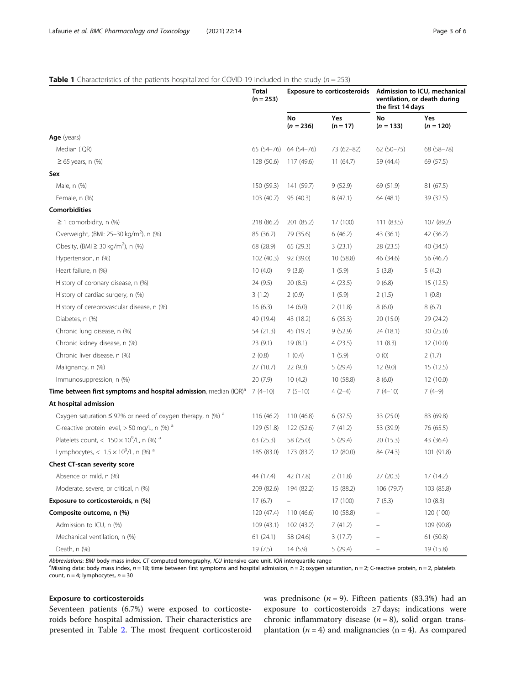# <span id="page-2-0"></span>**Table 1** Characteristics of the patients hospitalized for COVID-19 included in the study ( $n = 253$ )

|                                                                       | Total<br>$(n = 253)$ |                          | <b>Exposure to corticosteroids</b> | the first 14 days | Admission to ICU, mechanical<br>ventilation, or death during |
|-----------------------------------------------------------------------|----------------------|--------------------------|------------------------------------|-------------------|--------------------------------------------------------------|
|                                                                       |                      | <b>No</b><br>$(n = 236)$ | Yes<br>$(n = 17)$                  | No<br>$(n = 133)$ | Yes<br>$(n = 120)$                                           |
| Age (years)                                                           |                      |                          |                                    |                   |                                                              |
| Median (IQR)                                                          | $65(54 - 76)$        | 64 (54-76)               | 73 (62-82)                         | $62(50-75)$       | 68 (58-78)                                                   |
| $\geq 65$ years, n (%)                                                | 128 (50.6)           | 117 (49.6)               | 11(64.7)                           | 59 (44.4)         | 69 (57.5)                                                    |
| Sex                                                                   |                      |                          |                                    |                   |                                                              |
| Male, n (%)                                                           | 150 (59.3)           | 141 (59.7)               | 9(52.9)                            | 69 (51.9)         | 81 (67.5)                                                    |
| Female, n (%)                                                         | 103 (40.7)           | 95 (40.3)                | 8(47.1)                            | 64 (48.1)         | 39 (32.5)                                                    |
| <b>Comorbidities</b>                                                  |                      |                          |                                    |                   |                                                              |
| $\geq$ 1 comorbidity, n (%)                                           | 218 (86.2)           | 201 (85.2)               | 17 (100)                           | 111(83.5)         | 107 (89.2)                                                   |
| Overweight, (BMI: 25–30 kg/m <sup>2</sup> ), n (%)                    | 85 (36.2)            | 79 (35.6)                | 6(46.2)                            | 43 (36.1)         | 42 (36.2)                                                    |
| Obesity, (BMI $\geq$ 30 kg/m <sup>2</sup> ), n (%)                    | 68 (28.9)            | 65 (29.3)                | 3(23.1)                            | 28 (23.5)         | 40 (34.5)                                                    |
| Hypertension, n (%)                                                   | 102(40.3)            | 92 (39.0)                | 10 (58.8)                          | 46 (34.6)         | 56 (46.7)                                                    |
| Heart failure, n (%)                                                  | 10(4.0)              | 9(3.8)                   | 1(5.9)                             | 5(3.8)            | 5(4.2)                                                       |
| History of coronary disease, n (%)                                    | 24 (9.5)             | 20(8.5)                  | 4(23.5)                            | 9(6.8)            | 15(12.5)                                                     |
| History of cardiac surgery, n (%)                                     | 3(1.2)               | 2(0.9)                   | 1(5.9)                             | 2(1.5)            | 1(0.8)                                                       |
| History of cerebrovascular disease, n (%)                             | 16(6.3)              | 14(6.0)                  | 2(11.8)                            | 8(6.0)            | 8(6.7)                                                       |
| Diabetes, n (%)                                                       | 49 (19.4)            | 43 (18.2)                | 6(35.3)                            | 20 (15.0)         | 29 (24.2)                                                    |
| Chronic lung disease, n (%)                                           | 54 (21.3)            | 45 (19.7)                | 9(52.9)                            | 24 (18.1)         | 30 (25.0)                                                    |
| Chronic kidney disease, n (%)                                         | 23(9.1)              | 19(8.1)                  | 4(23.5)                            | 11(8.3)           | 12 (10.0)                                                    |
| Chronic liver disease, n (%)                                          | 2(0.8)               | 1(0.4)                   | 1(5.9)                             | 0(0)              | 2(1.7)                                                       |
| Malignancy, n (%)                                                     | 27 (10.7)            | 22(9.3)                  | 5(29.4)                            | 12(9.0)           | 15(12.5)                                                     |
| Immunosuppression, n (%)                                              | 20(7.9)              | 10(4.2)                  | 10 (58.8)                          | 8(6.0)            | 12 (10.0)                                                    |
| Time between first symptoms and hospital admission, median $(QR)^{a}$ | $7(4-10)$            | $7(5-10)$                | $4(2-4)$                           | $7(4-10)$         | $7(4-9)$                                                     |
| At hospital admission                                                 |                      |                          |                                    |                   |                                                              |
| Oxygen saturation $\leq$ 92% or need of oxygen therapy, n (%) $^a$    | 116 (46.2)           | 110 (46.8)               | 6(37.5)                            | 33 (25.0)         | 83 (69.8)                                                    |
| C-reactive protein level, $>$ 50 mg/L, n (%) $^a$                     | 129 (51.8)           | 122 (52.6)               | 7(41.2)                            | 53 (39.9)         | 76 (65.5)                                                    |
| Platelets count, < $150 \times 10^9$ /L, n (%) <sup>a</sup>           | 63 (25.3)            | 58 (25.0)                | 5(29.4)                            | 20 (15.3)         | 43 (36.4)                                                    |
| Lymphocytes, < $1.5 \times 10^9$ /L, n (%) <sup>a</sup>               | 185 (83.0)           | 173 (83.2)               | 12 (80.0)                          | 84 (74.3)         | 101 (91.8)                                                   |
| Chest CT-scan severity score                                          |                      |                          |                                    |                   |                                                              |
| Absence or mild, n (%)                                                | 44 (17.4)            | 42 (17.8)                | 2(11.8)                            | 27 (20.3)         | 17 (14.2)                                                    |
| Moderate, severe, or critical, n (%)                                  | 209 (82.6)           | 194 (82.2)               | 15 (88.2)                          | 106 (79.7)        | 103 (85.8)                                                   |
| Exposure to corticosteroids, n (%)                                    | 17(6.7)              |                          | 17 (100)                           | 7(5.3)            | 10(8.3)                                                      |
| Composite outcome, n (%)                                              | 120 (47.4)           | 110(46.6)                | 10(58.8)                           |                   | 120 (100)                                                    |
| Admission to ICU, n (%)                                               | 109(43.1)            | 102 (43.2)               | 7(41.2)                            |                   | 109 (90.8)                                                   |
| Mechanical ventilation, n (%)                                         | 61(24.1)             | 58 (24.6)                | 3(17.7)                            |                   | 61(50.8)                                                     |
| Death, n (%)                                                          | 19 (7.5)             | 14(5.9)                  | 5(29.4)                            |                   | 19 (15.8)                                                    |

Abbreviations: BMI body mass index, CT computed tomography, ICU intensive care unit, IQR interquartile range

<sup>a</sup>Missing data: body mass index,  $n = 18$ ; time between first symptoms and hospital admission, n = 2; oxygen saturation, n = 2; C-reactive protein, n = 2, platelets count,  $n = 4$ ; lymphocytes,  $n = 30$ 

# Exposure to corticosteroids

Seventeen patients (6.7%) were exposed to corticosteroids before hospital admission. Their characteristics are presented in Table [2.](#page-3-0) The most frequent corticosteroid was prednisone ( $n = 9$ ). Fifteen patients (83.3%) had an exposure to corticosteroids ≥7 days; indications were chronic inflammatory disease  $(n = 8)$ , solid organ transplantation ( $n = 4$ ) and malignancies ( $n = 4$ ). As compared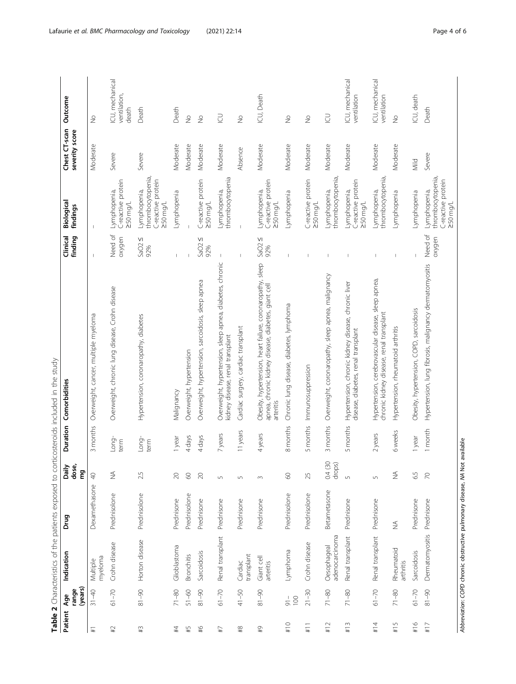<span id="page-3-0"></span>

|                                           |                         |                                                                  |                              |                              |               | Table 2 Characteristics of the patients exposed to corticosteroids included in the study                                       |                       |                                                                          |                                 |                                          |
|-------------------------------------------|-------------------------|------------------------------------------------------------------|------------------------------|------------------------------|---------------|--------------------------------------------------------------------------------------------------------------------------------|-----------------------|--------------------------------------------------------------------------|---------------------------------|------------------------------------------|
| Patient                                   | (years)<br>range<br>Age | Indication                                                       | Drug                         | dose,<br>Daily<br>ξq         |               | Duration Comorbidities                                                                                                         | finding<br>Clinical   | Biological<br>findings                                                   | Chest CT-scan<br>severity score | Outcome                                  |
| $\mp$                                     | $31 - 40$               | myeloma<br>Multiple                                              | Dexamethasone                | $\triangleq$                 | 3 months      | Overweight, cancer, multiple myeloma                                                                                           |                       |                                                                          | Moderate                        | $\frac{1}{2}$                            |
| $\sharp 1$                                | $61 - 70$               | Crohn disease                                                    | Prednisolone                 | $\lessapprox$                | Long-<br>term | Overweight, chronic lung disease, Crohn disease                                                                                | Need of<br>oxygen     | C-reactive protein<br>Lymphopenia,<br>1/pm0/2                            | Severe                          | ICU, mechanical<br>ventilation,<br>death |
| #3                                        | $81 - 90$               | Horton disease                                                   | Prednisolone                 | 2.5                          | Long-<br>term | Hypertension, coronaropathy, diabetes                                                                                          | VI<br>SaO2<br>92%     | thrombocytopenia,<br>C-reactive protein<br>Lymphopenia,<br>250 mg/L      | Severe                          | Death                                    |
| #4                                        | $71 - 80$               | Glioblastoma                                                     | Prednisone                   | $\geqslant$                  | 1 year        | Malignancy                                                                                                                     |                       | Lymphopenia                                                              | Moderate                        | Death                                    |
| #5                                        | $51 - 60$               | <b>Bronchitis</b>                                                | Prednisolone                 | $\odot$                      | 4 days        | Overweight, hypertension                                                                                                       |                       |                                                                          | Moderate                        | $\frac{1}{2}$                            |
| $\frac{9}{4}$                             | $06 - 18$               | Sarcoidosis                                                      | Prednisone                   | $\gtrsim$                    | 4 days        | Overweight, hypertension, sarcoidosis, sleep apnea                                                                             | $\vee$<br>SaO2<br>92% | C-reactive protein<br>$250$ mg/L                                         | Moderate                        | $\frac{1}{2}$                            |
| $\pm 7$                                   | $61 - 70$               | Renal transplant                                                 | Prednisone                   | $\mathsf{L}\cap$             | 7 years       | Overweight, hypertension, sleep apnea, diabetes, chronic<br>kidney disease, renal transplant                                   |                       | thrombocytopenia<br>Lymphopenia,                                         | Moderate                        | $\supseteq$                              |
| $\stackrel{48}{\scriptstyle\pm\atop\sim}$ | $41 - 50$               | transplant<br>Cardiac                                            | Prednisone                   | $\overline{5}$               | 11 years      | Cardiac surgery, cardiac transplant                                                                                            |                       |                                                                          | Absence                         | $\frac{1}{2}$                            |
| $\frac{6}{4}$                             | $06 - 18$               | Giant cell<br>arteritis                                          | Prednisone                   | $\sim$                       | 4 years       | Obesity, hypertension, heart failure, coronaropathy, sleep<br>apnea, chronic kidney disease, diabetes, giant cell<br>arteritis | SaO2 $\leq$<br>92%    | C-reactive protein<br>Lymphopenia,<br>$250$ mg/L                         | Moderate                        | ICU, Death                               |
| #10                                       | 100<br>$\frac{1}{6}$    | Lymphoma                                                         | Prednisolone                 | $\odot$                      | 8 months      | Chronic lung disease, diabetes, lymphoma                                                                                       |                       | Lymphopenia                                                              | Moderate                        | $\frac{1}{2}$                            |
| $\frac{1}{11}$                            | $21 - 30$               | Crohn disease                                                    | Prednisolone                 | 25                           | 5 months      | Immunosuppression                                                                                                              | $\overline{1}$        | C-reactive protein<br>$250$ mg/L                                         | Moderate                        | $\frac{1}{2}$                            |
| #12                                       | $71 - 80$               | adenocarcinoma<br>Oesophageal                                    | Betametasone                 | 0.4(30)<br>drops)            | 3 months      | Overweight, coronaropathy, sleep apnea, malignancy                                                                             |                       | thrombocytopenia<br>Lymphopenia,                                         | Moderate                        | $\supseteq$                              |
| #13                                       | $71 - 80$               | Renal transplant                                                 | Prednisone                   | $\cup$                       | 5 months      | Hypertension, chronic kidney disease, chronic liver<br>disease, diabetes, renal transplant                                     |                       | C-reactive protein<br>-ymphopenia,<br>$250$ mg/L                         | Moderate                        | ICU, mechanical<br>ventilation           |
| #14                                       | $61 - 70$               | Renal transplant                                                 | Prednisone                   | $\overline{5}$               | 2 years       | Hypertension, cerebrovascular disease, sleep apnea,<br>chronic kidney disease, renal transplant                                |                       | thrombocytopenia,<br>Lymphopenia,                                        | Moderate                        | ICU, mechanical<br>ventilation           |
| #15                                       | $71 - 80$               | Rheumatoid<br>arthritis                                          | $\stackrel{\triangle}{\geq}$ | $\stackrel{\triangle}{\geq}$ | 6 weeks       | Hypertension, rheumatoid arthritis                                                                                             | $\mathbf{I}$          | Lymphopenia                                                              | Moderate                        | $\frac{1}{2}$                            |
| #16                                       | $61 - 70$               | Sarcoidosis                                                      | Prednisone                   | 6.5                          | 1 year        | Obesity, hypertension, COPD, sarcoidosis                                                                                       |                       | -ymphopenia                                                              | Mild                            | ICU, death                               |
| #17                                       | $06 - 18$               | Dermatomyositis                                                  | Prednisone                   | $\gtrsim$                    | 1 month       | Hypertension, lung fibrosis, malignancy dermatomyositis                                                                        | Need of<br>oxygen     | thrombocytopenia,<br>C-reactive protein<br>Lymphopenia,<br>$1$ /pm $052$ | Severe                          | Death                                    |
|                                           |                         | Abbreviation: COPD chronic obstructive pulmonary disease, NA Not |                              |                              | available     |                                                                                                                                |                       |                                                                          |                                 |                                          |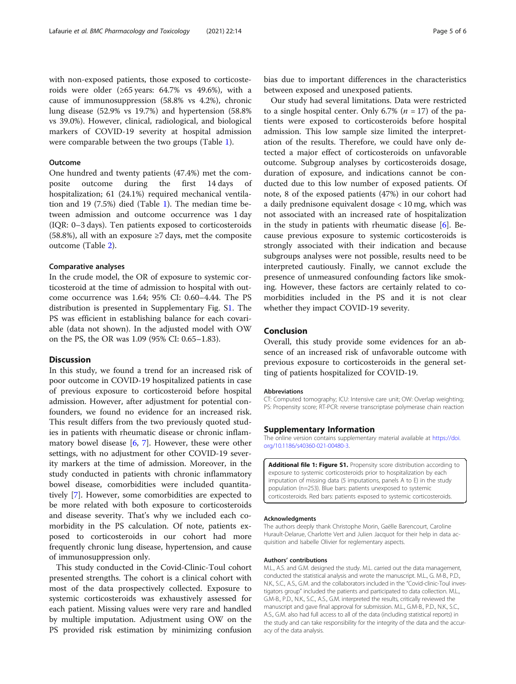markers of COVID-19 severity at hospital admission were comparable between the two groups (Table [1\)](#page-2-0).

roids were older ( $\geq 65$  years: 64.7% vs 49.6%), with a cause of immunosuppression (58.8% vs 4.2%), chronic lung disease (52.9% vs 19.7%) and hypertension (58.8% vs 39.0%). However, clinical, radiological, and biological

# **Outcome**

One hundred and twenty patients (47.4%) met the composite outcome during the first 14 days of hospitalization; 61 (24.1%) required mechanical ventilation and 19 (7.5%) died (Table [1](#page-2-0)). The median time between admission and outcome occurrence was 1 day (IQR: 0–3 days). Ten patients exposed to corticosteroids (58.8%), all with an exposure ≥7 days, met the composite outcome (Table [2](#page-3-0)).

# Comparative analyses

In the crude model, the OR of exposure to systemic corticosteroid at the time of admission to hospital with outcome occurrence was 1.64; 95% CI: 0.60–4.44. The PS distribution is presented in Supplementary Fig. S1. The PS was efficient in establishing balance for each covariable (data not shown). In the adjusted model with OW on the PS, the OR was 1.09 (95% CI: 0.65–1.83).

# Discussion

In this study, we found a trend for an increased risk of poor outcome in COVID-19 hospitalized patients in case of previous exposure to corticosteroid before hospital admission. However, after adjustment for potential confounders, we found no evidence for an increased risk. This result differs from the two previously quoted studies in patients with rheumatic disease or chronic inflammatory bowel disease [\[6,](#page-5-0) [7\]](#page-5-0). However, these were other settings, with no adjustment for other COVID-19 severity markers at the time of admission. Moreover, in the study conducted in patients with chronic inflammatory bowel disease, comorbidities were included quantitatively [\[7](#page-5-0)]. However, some comorbidities are expected to be more related with both exposure to corticosteroids and disease severity. That's why we included each comorbidity in the PS calculation. Of note, patients exposed to corticosteroids in our cohort had more frequently chronic lung disease, hypertension, and cause of immunosuppression only.

This study conducted in the Covid-Clinic-Toul cohort presented strengths. The cohort is a clinical cohort with most of the data prospectively collected. Exposure to systemic corticosteroids was exhaustively assessed for each patient. Missing values were very rare and handled by multiple imputation. Adjustment using OW on the PS provided risk estimation by minimizing confusion

bias due to important differences in the characteristics between exposed and unexposed patients.

Our study had several limitations. Data were restricted to a single hospital center. Only 6.7% ( $n = 17$ ) of the patients were exposed to corticosteroids before hospital admission. This low sample size limited the interpretation of the results. Therefore, we could have only detected a major effect of corticosteroids on unfavorable outcome. Subgroup analyses by corticosteroids dosage, duration of exposure, and indications cannot be conducted due to this low number of exposed patients. Of note, 8 of the exposed patients (47%) in our cohort had a daily prednisone equivalent dosage < 10 mg, which was not associated with an increased rate of hospitalization in the study in patients with rheumatic disease  $[6]$  $[6]$  $[6]$ . Because previous exposure to systemic corticosteroids is strongly associated with their indication and because subgroups analyses were not possible, results need to be interpreted cautiously. Finally, we cannot exclude the presence of unmeasured confounding factors like smoking. However, these factors are certainly related to comorbidities included in the PS and it is not clear whether they impact COVID-19 severity.

# Conclusion

Overall, this study provide some evidences for an absence of an increased risk of unfavorable outcome with previous exposure to corticosteroids in the general setting of patients hospitalized for COVID-19.

#### Abbreviations

CT: Computed tomography; ICU: Intensive care unit; OW: Overlap weighting; PS: Propensity score; RT-PCR: reverse transcriptase polymerase chain reaction

# Supplementary Information

The online version contains supplementary material available at [https://doi.](https://doi.org/10.1186/s40360-021-00480-3) [org/10.1186/s40360-021-00480-3.](https://doi.org/10.1186/s40360-021-00480-3)

Additional file 1: Figure S1. Propensity score distribution according to exposure to systemic corticosteroids prior to hospitalization by each imputation of missing data (5 imputations, panels A to E) in the study population (n=253). Blue bars: patients unexposed to systemic corticosteroids. Red bars: patients exposed to systemic corticosteroids.

#### Acknowledgments

The authors deeply thank Christophe Morin, Gaëlle Barencourt, Caroline Hurault-Delarue, Charlotte Vert and Julien Jacquot for their help in data acquisition and Isabelle Olivier for reglementary aspects.

#### Authors' contributions

M.L., A.S. and G.M. designed the study. M.L. carried out the data management, conducted the statistical analysis and wrote the manuscript. M.L., G. M-B., P.D., N.K., S.C., A.S., G.M. and the collaborators included in the "Covid-clinic-Toul investigators group" included the patients and participated to data collection. M.L., G.M-B., P.D., N.K., S.C., A.S., G.M. interpreted the results, critically reviewed the manuscript and gave final approval for submission. M.L., G.M-B., P.D., N.K., S.C., A.S., G.M. also had full access to all of the data (including statistical reports) in the study and can take responsibility for the integrity of the data and the accuracy of the data analysis.